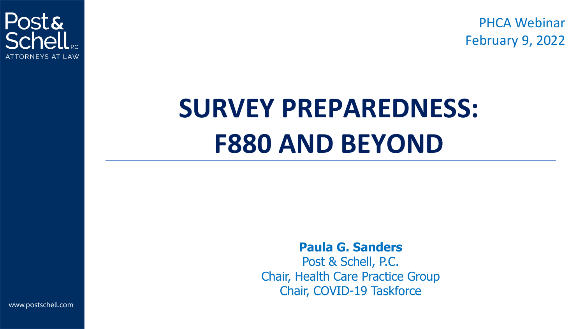PHCA Webinar February 9, 2022



# **SURVEY PREPAREDNESS: F880 AND BEYOND**

**Paula G. Sanders**

Post & Schell, P.C. Chair, Health Care Practice Group Chair, COVID-19 Taskforce

www.postschell.com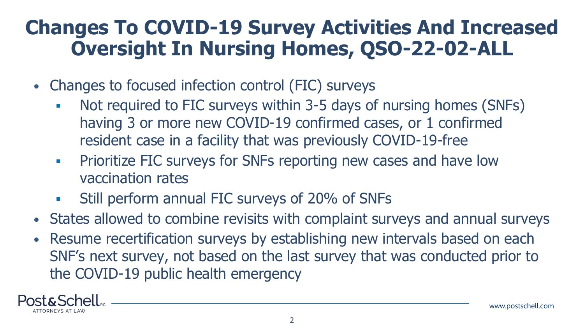#### **Changes To COVID-19 Survey Activities And Increased Oversight In Nursing Homes, QSO-22-02-ALL**

- Changes to focused infection control (FIC) surveys
	- Not required to FIC surveys within 3-5 days of nursing homes (SNFs) having 3 or more new COVID-19 confirmed cases, or 1 confirmed resident case in a facility that was previously COVID-19-free
	- **Prioritize FIC surveys for SNFs reporting new cases and have low** vaccination rates
	- **EXECUTE:** Still perform annual FIC surveys of 20% of SNFs
- States allowed to combine revisits with complaint surveys and annual surveys
- Resume recertification surveys by establishing new intervals based on each SNF's next survey, not based on the last survey that was conducted prior to the COVID-19 public health emergency

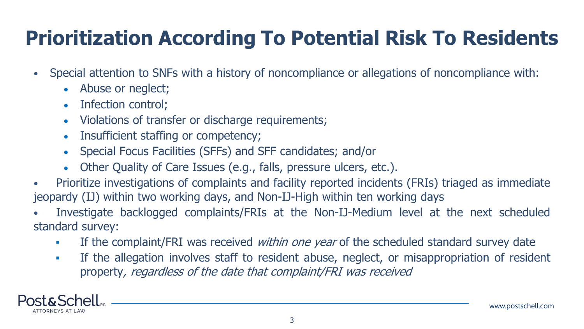# **Prioritization According To Potential Risk To Residents**

- Special attention to SNFs with a history of noncompliance or allegations of noncompliance with:
	- Abuse or neglect;
	- Infection control;
	- Violations of transfer or discharge requirements;
	- Insufficient staffing or competency;
	- Special Focus Facilities (SFFs) and SFF candidates; and/or
	- Other Quality of Care Issues (e.g., falls, pressure ulcers, etc.).
- Prioritize investigations of complaints and facility reported incidents (FRIs) triaged as immediate jeopardy (IJ) within two working days, and Non-IJ-High within ten working days
- Investigate backlogged complaints/FRIs at the Non-IJ-Medium level at the next scheduled standard survey:
	- **EXED 1** If the complaint/FRI was received *within one year* of the scheduled standard survey date
	- **•** If the allegation involves staff to resident abuse, neglect, or misappropriation of resident property, regardless of the date that complaint/FRI was received

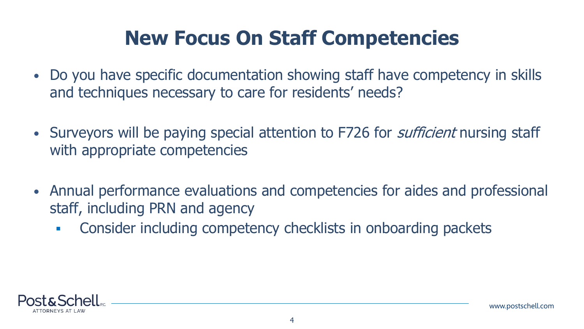#### **New Focus On Staff Competencies**

- Do you have specific documentation showing staff have competency in skills and techniques necessary to care for residents' needs?
- Surveyors will be paying special attention to F726 for *sufficient* nursing staff with appropriate competencies
- Annual performance evaluations and competencies for aides and professional staff, including PRN and agency
	- **EXEDENT Consider including competency checklists in onboarding packets**

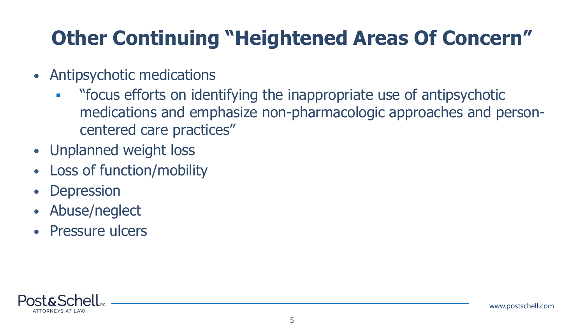# **Other Continuing "Heightened Areas Of Concern"**

- Antipsychotic medications
	- **EXP** " "focus efforts on identifying the inappropriate use of antipsychotic medications and emphasize non-pharmacologic approaches and personcentered care practices"
- Unplanned weight loss
- Loss of function/mobility
- Depression
- Abuse/neglect
- Pressure ulcers

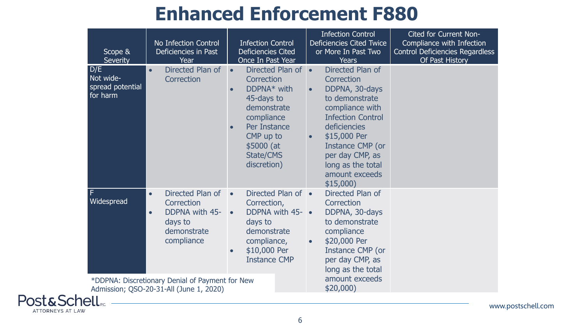#### **Enhanced Enforcement F880**

| Scope &<br><b>Severity</b>                       | No Infection Control<br>Deficiencies in Past<br>Year                                                                      | <b>Infection Control</b><br><b>Deficiencies Cited</b><br>Once In Past Year                                                                                                              | <b>Infection Control</b><br><b>Deficiencies Cited Twice</b><br>or More In Past Two<br><b>Years</b>                                                                                                                                                       | Cited for Current Non-<br>Compliance with Infection<br><b>Control Deficiencies Regardless</b><br>Of Past History |
|--------------------------------------------------|---------------------------------------------------------------------------------------------------------------------------|-----------------------------------------------------------------------------------------------------------------------------------------------------------------------------------------|----------------------------------------------------------------------------------------------------------------------------------------------------------------------------------------------------------------------------------------------------------|------------------------------------------------------------------------------------------------------------------|
| D/E<br>Not wide-<br>spread potential<br>for harm | Directed Plan of<br>Correction                                                                                            | Directed Plan of •<br>$\bullet$<br>Correction<br>$DDPNA*$ with<br>45-days to<br>demonstrate<br>compliance<br>Per Instance<br>CMP up to<br>\$5000 (at<br><b>State/CMS</b><br>discretion) | Directed Plan of<br>Correction<br>DDPNA, 30-days<br>$\bullet$<br>to demonstrate<br>compliance with<br><b>Infection Control</b><br>deficiencies<br>\$15,000 Per<br>Instance CMP (or<br>per day CMP, as<br>long as the total<br>amount exceeds<br>\$15,000 |                                                                                                                  |
| l F<br>Widespread                                | Directed Plan of<br>$\bullet$<br>Correction<br><b>DDPNA with 45-</b><br>$\bullet$<br>days to<br>demonstrate<br>compliance | Directed Plan of •<br>$\bullet$<br>Correction,<br>DDPNA with 45-<br>$\bullet$<br>days to<br>demonstrate<br>compliance,<br>\$10,000 Per<br><b>Instance CMP</b>                           | Directed Plan of<br>Correction<br>DDPNA, 30-days<br>to demonstrate<br>compliance<br>\$20,000 Per<br>$\bullet$<br>Instance CMP (or<br>per day CMP, as<br>long as the total                                                                                |                                                                                                                  |
|                                                  | *DDPNA: Discretionary Denial of Payment for New<br>Admission; QSO-20-31-All (June 1, 2020)                                |                                                                                                                                                                                         | amount exceeds<br>\$20,000                                                                                                                                                                                                                               |                                                                                                                  |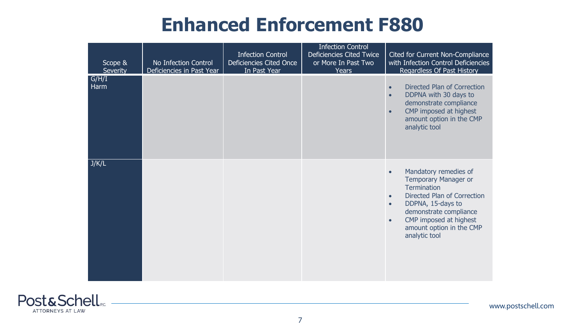#### **Enhanced Enforcement F880**

| Scope &<br><b>Severity</b> | No Infection Control<br>Deficiencies in Past Year | <b>Infection Control</b><br>Deficiencies Cited Once<br>In Past Year | <b>Infection Control</b><br>Deficiencies Cited Twice<br>or More In Past Two<br><b>Years</b> | Cited for Current Non-Compliance<br>with Infection Control Deficiencies<br>Regardless Of Past History                                                                                                                           |
|----------------------------|---------------------------------------------------|---------------------------------------------------------------------|---------------------------------------------------------------------------------------------|---------------------------------------------------------------------------------------------------------------------------------------------------------------------------------------------------------------------------------|
| G/H/I<br>Harm              |                                                   |                                                                     |                                                                                             | Directed Plan of Correction<br>DDPNA with 30 days to<br>demonstrate compliance<br>CMP imposed at highest<br>$\bullet$<br>amount option in the CMP<br>analytic tool                                                              |
| J/K/L                      |                                                   |                                                                     |                                                                                             | Mandatory remedies of<br><b>Temporary Manager or</b><br><b>Termination</b><br>Directed Plan of Correction<br>DDPNA, 15-days to<br>demonstrate compliance<br>CMP imposed at highest<br>amount option in the CMP<br>analytic tool |

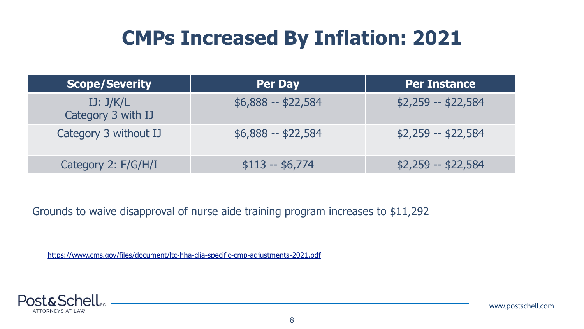#### **CMPs Increased By Inflation: 2021**

| <b>Scope/Severity</b>           | <b>Per Day</b>     | <b>Per Instance</b> |
|---------------------------------|--------------------|---------------------|
| IJ: J/K/L<br>Category 3 with IJ | $$6,888 - $22,584$ | $$2,259 - $22,584$  |
| Category 3 without IJ           | $$6,888 - $22,584$ | $$2,259 - $22,584$  |
| Category 2: F/G/H/I             | $$113 - $6,774$    | $$2,259 - $22,584$  |

Grounds to waive disapproval of nurse aide training program increases to \$11,292

<https://www.cms.gov/files/document/ltc-hha-clia-specific-cmp-adjustments-2021.pdf>

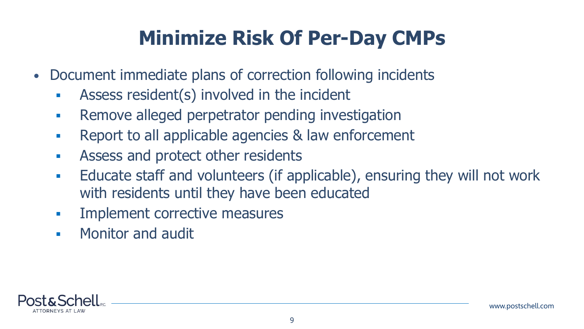# **Minimize Risk Of Per-Day CMPs**

- Document immediate plans of correction following incidents
	- **EXECUTE:** Assess resident(s) involved in the incident
	- **EXECTE:** Remove alleged perpetrator pending investigation
	- Report to all applicable agencies & law enforcement
	- **EXECUTE:** Assess and protect other residents
	- **Educate staff and volunteers (if applicable), ensuring they will not work** with residents until they have been educated
	- **Implement corrective measures**
	- **Monitor and audit**

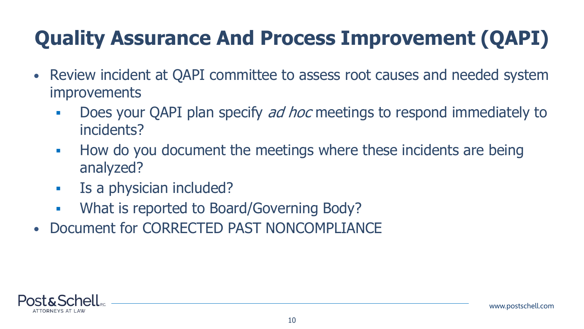# **Quality Assurance And Process Improvement (QAPI)**

- Review incident at QAPI committee to assess root causes and needed system improvements
	- **Does your QAPI plan specify** *ad hoc* **meetings to respond immediately to** incidents?
	- How do you document the meetings where these incidents are being analyzed?
	- **EXECUTE:** Is a physician included?
	- **What is reported to Board/Governing Body?**
- Document for CORRECTED PAST NONCOMPLIANCE

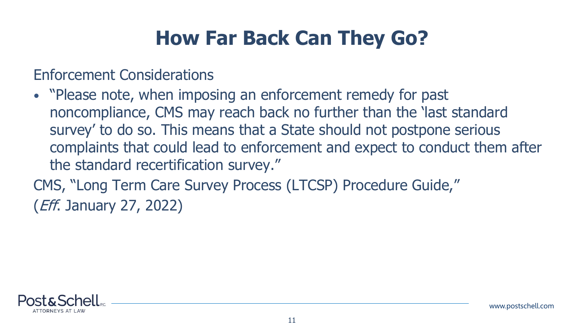#### **How Far Back Can They Go?**

Enforcement Considerations

• "Please note, when imposing an enforcement remedy for past noncompliance, CMS may reach back no further than the 'last standard survey' to do so. This means that a State should not postpone serious complaints that could lead to enforcement and expect to conduct them after the standard recertification survey."

CMS, "Long Term Care Survey Process (LTCSP) Procedure Guide," (Eff. January 27, 2022)

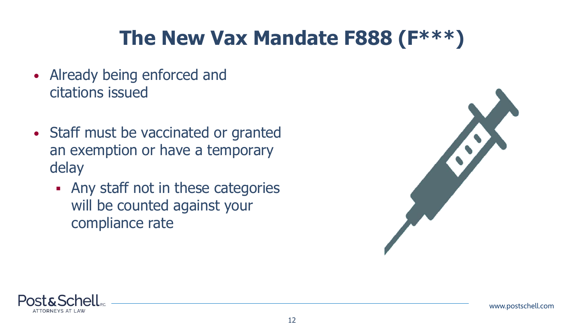### **The New Vax Mandate F888 (F\*\*\*)**

- Already being enforced and citations issued
- Staff must be vaccinated or granted an exemption or have a temporary delay
	- **Any staff not in these categories** will be counted against your compliance rate



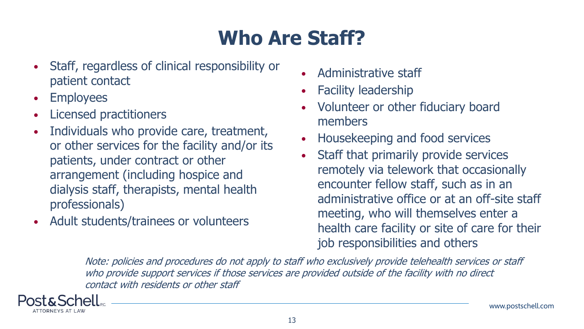# **Who Are Staff?**

- Staff, regardless of clinical responsibility or patient contact
- Employees
- Licensed practitioners
- Individuals who provide care, treatment, or other services for the facility and/or its patients, under contract or other arrangement (including hospice and dialysis staff, therapists, mental health professionals)
- Adult students/trainees or volunteers
- Administrative staff
- Facility leadership
- Volunteer or other fiduciary board members
- Housekeeping and food services
- Staff that primarily provide services remotely via telework that occasionally encounter fellow staff, such as in an administrative office or at an off-site staff meeting, who will themselves enter a health care facility or site of care for their job responsibilities and others

Note: policies and procedures do not apply to staff who exclusively provide telehealth services or staff who provide support services if those services are provided outside of the facility with no direct contact with residents or other staff

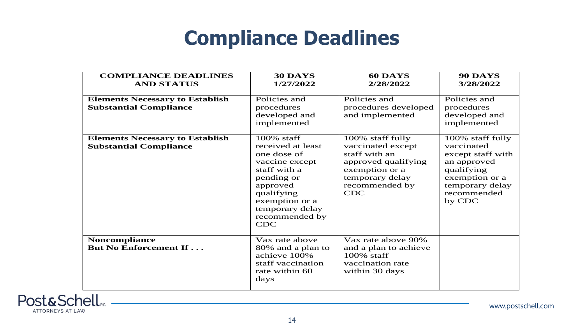#### **Compliance Deadlines**

| <b>COMPLIANCE DEADLINES</b><br><b>AND STATUS</b>                        | 30 DAYS<br>1/27/2022                                                                                                                                                                          | 60 DAYS<br>2/28/2022                                                                                                                               | <b>90 DAYS</b><br>3/28/2022                                                                                                                    |
|-------------------------------------------------------------------------|-----------------------------------------------------------------------------------------------------------------------------------------------------------------------------------------------|----------------------------------------------------------------------------------------------------------------------------------------------------|------------------------------------------------------------------------------------------------------------------------------------------------|
| <b>Elements Necessary to Establish</b><br><b>Substantial Compliance</b> | Policies and<br>procedures<br>developed and<br>implemented                                                                                                                                    | Policies and<br>procedures developed<br>and implemented                                                                                            | Policies and<br>procedures<br>developed and<br>implemented                                                                                     |
| <b>Elements Necessary to Establish</b><br><b>Substantial Compliance</b> | 100% staff<br>received at least<br>one dose of<br>vaccine except<br>staff with a<br>pending or<br>approved<br>qualifying<br>exemption or a<br>temporary delay<br>recommended by<br><b>CDC</b> | 100% staff fully<br>vaccinated except<br>staff with an<br>approved qualifying<br>exemption or a<br>temporary delay<br>recommended by<br><b>CDC</b> | 100% staff fully<br>vaccinated<br>except staff with<br>an approved<br>qualifying<br>exemption or a<br>temporary delay<br>recommended<br>by CDC |
| <b>Noncompliance</b><br><b>But No Enforcement If</b>                    | Vax rate above<br>80% and a plan to<br>achieve 100%<br>staff vaccination<br>rate within 60<br>days                                                                                            | Vax rate above 90%<br>and a plan to achieve<br>100% staff<br>vaccination rate<br>within 30 days                                                    |                                                                                                                                                |

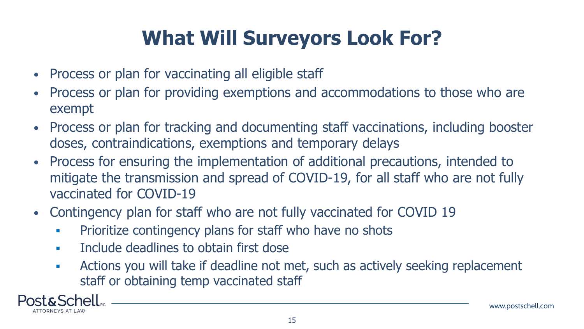# **What Will Surveyors Look For?**

- Process or plan for vaccinating all eligible staff
- Process or plan for providing exemptions and accommodations to those who are exempt
- Process or plan for tracking and documenting staff vaccinations, including booster doses, contraindications, exemptions and temporary delays
- Process for ensuring the implementation of additional precautions, intended to mitigate the transmission and spread of COVID-19, for all staff who are not fully vaccinated for COVID-19
- Contingency plan for staff who are not fully vaccinated for COVID 19
	- **Prioritize contingency plans for staff who have no shots**
	- **Include deadlines to obtain first dose**
	- **EXP** Actions you will take if deadline not met, such as actively seeking replacement staff or obtaining temp vaccinated staff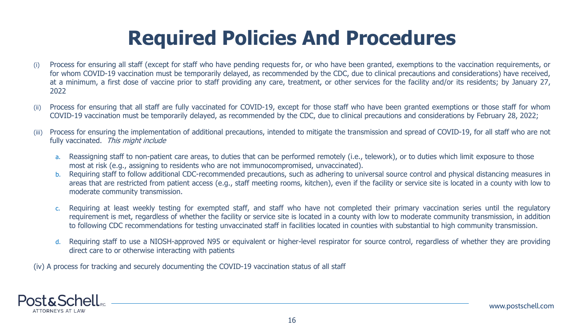#### **Required Policies And Procedures**

- (i) Process for ensuring all staff (except for staff who have pending requests for, or who have been granted, exemptions to the vaccination requirements, or for whom COVID-19 vaccination must be temporarily delayed, as recommended by the CDC, due to clinical precautions and considerations) have received, at a minimum, a first dose of vaccine prior to staff providing any care, treatment, or other services for the facility and/or its residents; by January 27, 2022
- (ii) Process for ensuring that all staff are fully vaccinated for COVID-19, except for those staff who have been granted exemptions or those staff for whom COVID-19 vaccination must be temporarily delayed, as recommended by the CDC, due to clinical precautions and considerations by February 28, 2022;
- (iii) Process for ensuring the implementation of additional precautions, intended to mitigate the transmission and spread of COVID-19, for all staff who are not fully vaccinated. This might include
	- a. Reassigning staff to non-patient care areas, to duties that can be performed remotely (i.e., telework), or to duties which limit exposure to those most at risk (e.g., assigning to residents who are not immunocompromised, unvaccinated).
	- b. Requiring staff to follow additional CDC-recommended precautions, such as adhering to universal source control and physical distancing measures in areas that are restricted from patient access (e.g., staff meeting rooms, kitchen), even if the facility or service site is located in a county with low to moderate community transmission.
	- Requiring at least weekly testing for exempted staff, and staff who have not completed their primary vaccination series until the regulatory requirement is met, regardless of whether the facility or service site is located in a county with low to moderate community transmission, in addition to following CDC recommendations for testing unvaccinated staff in facilities located in counties with substantial to high community transmission.
	- d. Requiring staff to use a NIOSH-approved N95 or equivalent or higher-level respirator for source control, regardless of whether they are providing direct care to or otherwise interacting with patients

(iv) A process for tracking and securely documenting the COVID-19 vaccination status of all staff

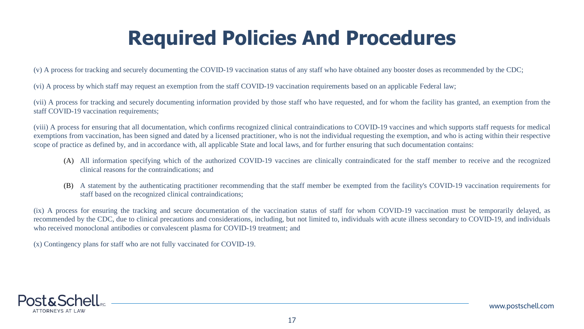#### **Required Policies And Procedures**

(v) A process for tracking and securely documenting the COVID-19 vaccination status of any staff who have obtained any booster doses as recommended by the CDC;

(vi) A process by which staff may request an exemption from the staff COVID-19 vaccination requirements based on an applicable Federal law;

(vii) A process for tracking and securely documenting information provided by those staff who have requested, and for whom the facility has granted, an exemption from the staff COVID-19 vaccination requirements;

(viii) A process for ensuring that all documentation, which confirms recognized clinical contraindications to COVID-19 vaccines and which supports staff requests for medical exemptions from vaccination, has been signed and dated by a licensed practitioner, who is not the individual requesting the exemption, and who is acting within their respective scope of practice as defined by, and in accordance with, all applicable State and local laws, and for further ensuring that such documentation contains:

- (A) All information specifying which of the authorized COVID-19 vaccines are clinically contraindicated for the staff member to receive and the recognized clinical reasons for the contraindications; and
- (B) A statement by the authenticating practitioner recommending that the staff member be exempted from the facility's COVID-19 vaccination requirements for staff based on the recognized clinical contraindications;

(ix) A process for ensuring the tracking and secure documentation of the vaccination status of staff for whom COVID-19 vaccination must be temporarily delayed, as recommended by the CDC, due to clinical precautions and considerations, including, but not limited to, individuals with acute illness secondary to COVID-19, and individuals who received monoclonal antibodies or convalescent plasma for COVID-19 treatment; and

(x) Contingency plans for staff who are not fully vaccinated for COVID-19.

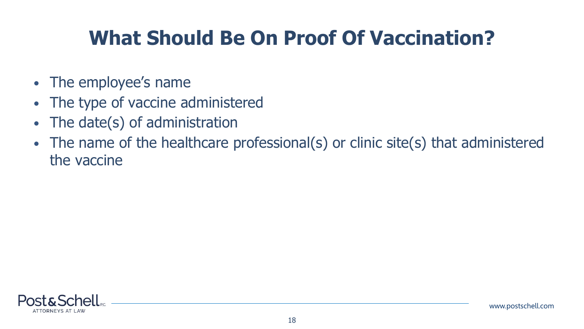### **What Should Be On Proof Of Vaccination?**

- The employee's name
- The type of vaccine administered
- The date(s) of administration
- The name of the healthcare professional(s) or clinic site(s) that administered the vaccine

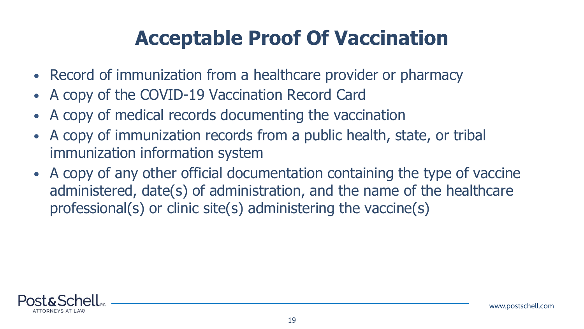#### **Acceptable Proof Of Vaccination**

- Record of immunization from a healthcare provider or pharmacy
- A copy of the COVID-19 Vaccination Record Card
- A copy of medical records documenting the vaccination
- A copy of immunization records from a public health, state, or tribal immunization information system
- A copy of any other official documentation containing the type of vaccine administered, date(s) of administration, and the name of the healthcare professional(s) or clinic site(s) administering the vaccine(s)

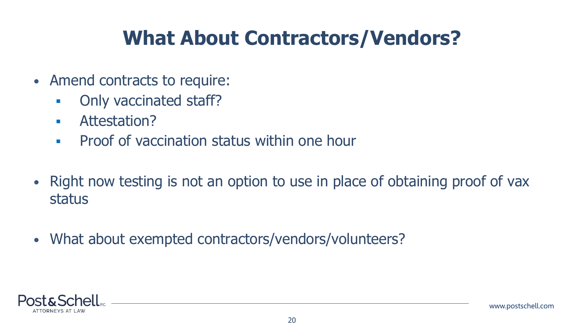#### **What About Contractors/Vendors?**

- Amend contracts to require:
	- **Only vaccinated staff?**
	- Attestation?
	- **Proof of vaccination status within one hour**
- Right now testing is not an option to use in place of obtaining proof of vax status
- What about exempted contractors/vendors/volunteers?

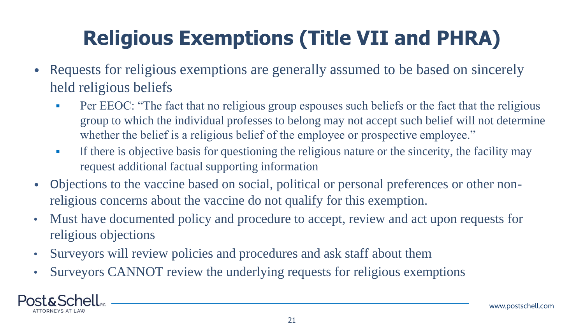# **Religious Exemptions (Title VII and PHRA)**

- Requests for religious exemptions are generally assumed to be based on sincerely held religious beliefs
	- **•** Per EEOC: "The fact that no religious group espouses such beliefs or the fact that the religious group to which the individual professes to belong may not accept such belief will not determine whether the belief is a religious belief of the employee or prospective employee."
	- **If there is objective basis for questioning the religious nature or the sincerity, the facility may** request additional factual supporting information
- Objections to the vaccine based on social, political or personal preferences or other nonreligious concerns about the vaccine do not qualify for this exemption.
- Must have documented policy and procedure to accept, review and act upon requests for religious objections
- Surveyors will review policies and procedures and ask staff about them
- Surveyors CANNOT review the underlying requests for religious exemptions

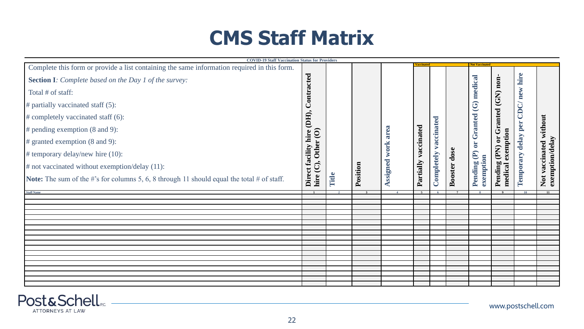#### **CMS Staff Matrix**

| <b>COVID-19 Staff Vaccination Status for Providers</b>                                            |                                         |       |          |              |            |            |              |                        |                                              |           |                                           |
|---------------------------------------------------------------------------------------------------|-----------------------------------------|-------|----------|--------------|------------|------------|--------------|------------------------|----------------------------------------------|-----------|-------------------------------------------|
| Complete this form or provide a list containing the same information required in this form.       |                                         |       |          |              |            |            |              | <b>Not Vaccinate</b>   |                                              |           |                                           |
| <b>Section I:</b> Complete based on the Day 1 of the survey:                                      | Contracted                              |       |          |              |            |            |              | medical                |                                              | hire      |                                           |
| Total # of staff:                                                                                 |                                         |       |          |              |            |            |              |                        |                                              | new       |                                           |
| $#$ partially vaccinated staff (5):                                                               |                                         |       |          |              |            |            |              | $\mathfrak{S}$         |                                              | CDC       |                                           |
| # completely vaccinated staff (6):                                                                |                                         |       |          |              |            |            |              |                        |                                              |           |                                           |
| $#$ pending exemption (8 and 9):                                                                  |                                         |       |          | area         |            | accinated  |              | <b>Granted</b>         |                                              | per       |                                           |
| $\#$ granted exemption (8 and 9):                                                                 | Other <sub>(O)</sub>                    |       |          |              | vaccinated |            |              | öľ                     | exemption                                    | delay     |                                           |
| $#$ temporary delay/new hire $(10)$ :                                                             |                                         |       |          | work         |            |            |              | $\widehat{\mathbf{e}}$ |                                              |           |                                           |
| $#$ not vaccinated without exemption/delay $(11)$ :                                               |                                         |       |          |              |            |            |              |                        |                                              |           |                                           |
| <b>Note:</b> The sum of the #'s for columns 5, 6, 8 through 11 should equal the total # of staff. | Direct facility hire (DH),<br>hire (C), | Title | Position | Assigned     | Partially  | Completely | Booster dose | exemption<br>Pending   | Pending (PN) or Granted (GN) non-<br>medical | Temporary | Not vaccinated without<br>exemption/delay |
| <b>Staff Name</b>                                                                                 |                                         |       |          | $\mathbf{A}$ |            |            |              |                        |                                              |           |                                           |
|                                                                                                   |                                         |       |          |              |            |            |              |                        |                                              |           |                                           |
|                                                                                                   |                                         |       |          |              |            |            |              |                        |                                              |           |                                           |
|                                                                                                   |                                         |       |          |              |            |            |              |                        |                                              |           |                                           |
|                                                                                                   |                                         |       |          |              |            |            |              |                        |                                              |           |                                           |
|                                                                                                   |                                         |       |          |              |            |            |              |                        |                                              |           |                                           |
|                                                                                                   |                                         |       |          |              |            |            |              |                        |                                              |           |                                           |
|                                                                                                   |                                         |       |          |              |            |            |              |                        |                                              |           |                                           |
|                                                                                                   |                                         |       |          |              |            |            |              |                        |                                              |           |                                           |
|                                                                                                   |                                         |       |          |              |            |            |              |                        |                                              |           |                                           |

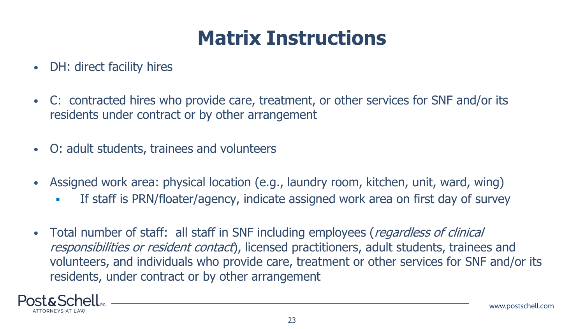#### **Matrix Instructions**

- DH: direct facility hires
- C: contracted hires who provide care, treatment, or other services for SNF and/or its residents under contract or by other arrangement
- O: adult students, trainees and volunteers
- Assigned work area: physical location (e.g., laundry room, kitchen, unit, ward, wing)
	- **If staff is PRN/floater/agency, indicate assigned work area on first day of survey**
- Total number of staff: all staff in SNF including employees (regardless of clinical responsibilities or resident contact), licensed practitioners, adult students, trainees and volunteers, and individuals who provide care, treatment or other services for SNF and/or its residents, under contract or by other arrangement

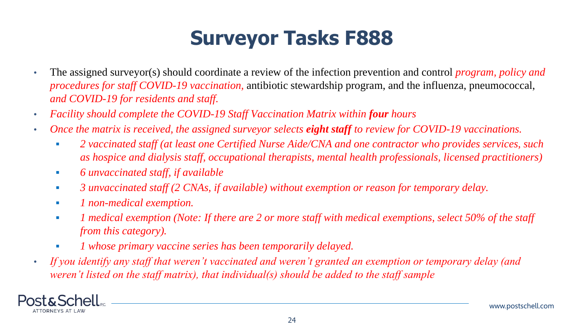### **Surveyor Tasks F888**

- The assigned surveyor(s) should coordinate a review of the infection prevention and control *program, policy and procedures for staff COVID-19 vaccination,* antibiotic stewardship program, and the influenza, pneumococcal, *and COVID-19 for residents and staff.*
- *Facility should complete the COVID-19 Staff Vaccination Matrix within four hours*
- *Once the matrix is received, the assigned surveyor selects eight staff to review for COVID-19 vaccinations.*
	- *2 vaccinated staff (at least one Certified Nurse Aide/CNA and one contractor who provides services, such as hospice and dialysis staff, occupational therapists, mental health professionals, licensed practitioners)*
	- *6 unvaccinated staff, if available*
	- *3 unvaccinated staff (2 CNAs, if available) without exemption or reason for temporary delay.*
	- *1 non-medical exemption.*
	- **1** medical exemption (Note: If there are 2 or more staff with medical exemptions, select 50% of the staff *from this category).*
	- *1 whose primary vaccine series has been temporarily delayed.*
- *If you identify any staff that weren't vaccinated and weren't granted an exemption or temporary delay (and weren't listed on the staff matrix), that individual(s) should be added to the staff sample*

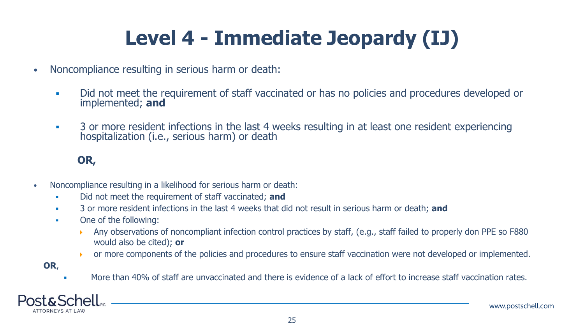# **Level 4 - Immediate Jeopardy (IJ)**

- Noncompliance resulting in serious harm or death:
	- Did not meet the requirement of staff vaccinated or has no policies and procedures developed or implemented; **and**
	- **•** 3 or more resident infections in the last 4 weeks resulting in at least one resident experiencing hospitalization (i.e., serious harm) or death

#### **OR,**

- Noncompliance resulting in a likelihood for serious harm or death:
	- Did not meet the requirement of staff vaccinated; **and**
	- 3 or more resident infections in the last 4 weeks that did not result in serious harm or death; **and**
	- One of the following:
		- Any observations of noncompliant infection control practices by staff, (e.g., staff failed to properly don PPE so F880 would also be cited); **or**
		- or more components of the policies and procedures to ensure staff vaccination were not developed or implemented.
	- **OR**,
- More than 40% of staff are unvaccinated and there is evidence of a lack of effort to increase staff vaccination rates.

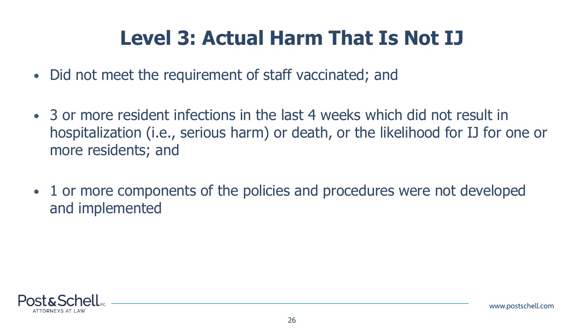#### **Level 3: Actual Harm That Is Not IJ**

- Did not meet the requirement of staff vaccinated; and
- 3 or more resident infections in the last 4 weeks which did not result in hospitalization (i.e., serious harm) or death, or the likelihood for IJ for one or more residents; and
- 1 or more components of the policies and procedures were not developed and implemented

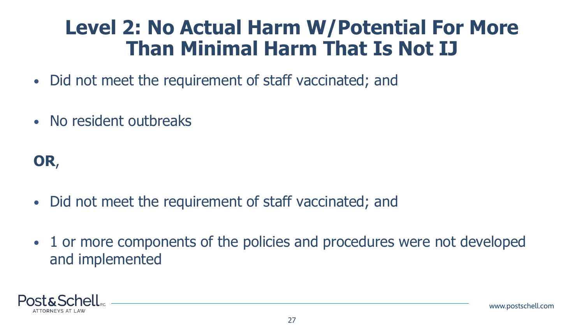#### **Level 2: No Actual Harm W/Potential For More Than Minimal Harm That Is Not IJ**

- Did not meet the requirement of staff vaccinated; and
- No resident outbreaks

#### **OR**,

- Did not meet the requirement of staff vaccinated; and
- 1 or more components of the policies and procedures were not developed and implemented

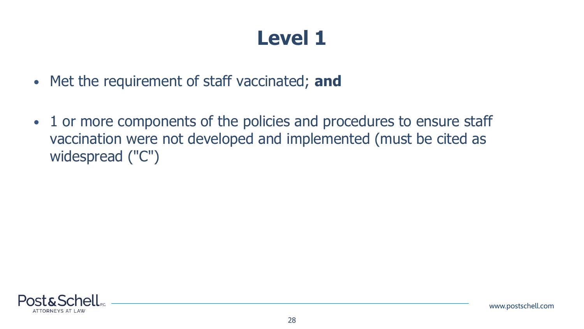#### **Level 1**

- Met the requirement of staff vaccinated; **and**
- 1 or more components of the policies and procedures to ensure staff vaccination were not developed and implemented (must be cited as widespread ("C")

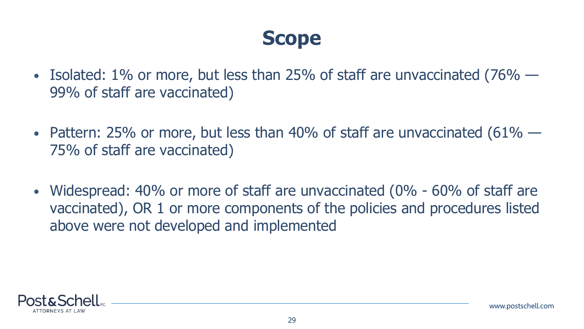#### **Scope**

- Isolated: 1% or more, but less than 25% of staff are unvaccinated (76% 99% of staff are vaccinated)
- Pattern: 25% or more, but less than 40% of staff are unvaccinated  $(61\% -$ 75% of staff are vaccinated)
- Widespread: 40% or more of staff are unvaccinated (0% 60% of staff are vaccinated), OR 1 or more components of the policies and procedures listed above were not developed and implemented

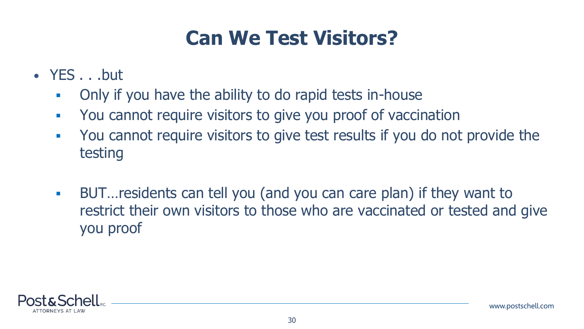## **Can We Test Visitors?**

- YES . . .but
	- **Only if you have the ability to do rapid tests in-house**
	- You cannot require visitors to give you proof of vaccination
	- You cannot require visitors to give test results if you do not provide the testing
	- BUT…residents can tell you (and you can care plan) if they want to restrict their own visitors to those who are vaccinated or tested and give you proof

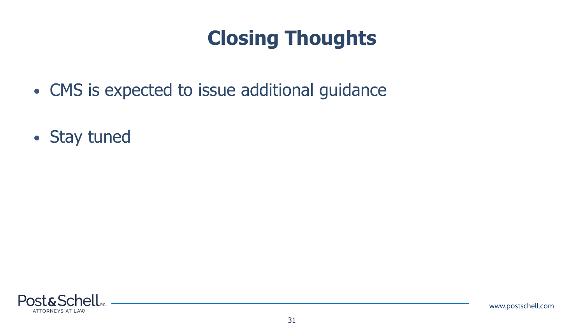#### **Closing Thoughts**

- CMS is expected to issue additional guidance
- Stay tuned